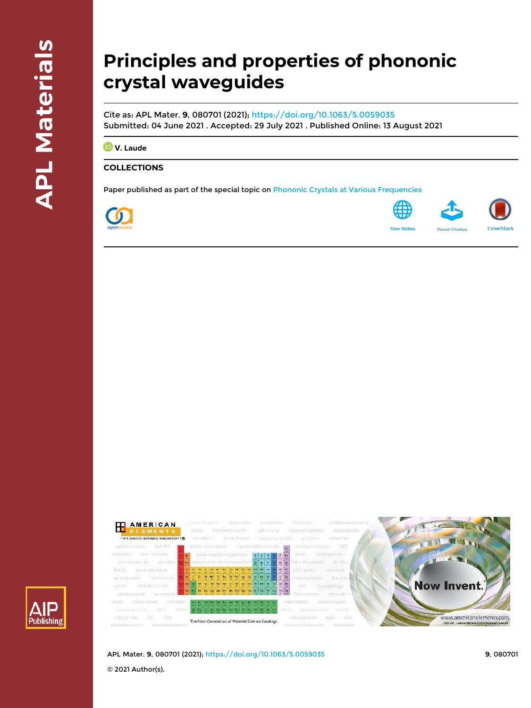# **Principles and properties of phononic crystal waveguides**

Cite as: APL Mater. **9**, 080701 (2021); <https://doi.org/10.1063/5.0059035> Submitted: 04 June 2021 . Accepted: 29 July 2021 . Published Online: 13 August 2021

*D* **V.** Laude

### **COLLECTIONS**

Paper published as part of the special topic on [Phononic Crystals at Various Frequencies](/topic/special-collections/phonc2021?SeriesKey=apm)





**View Onlin** 





APL Mater. **9**, 080701 (2021); <https://doi.org/10.1063/5.0059035> **9**, 080701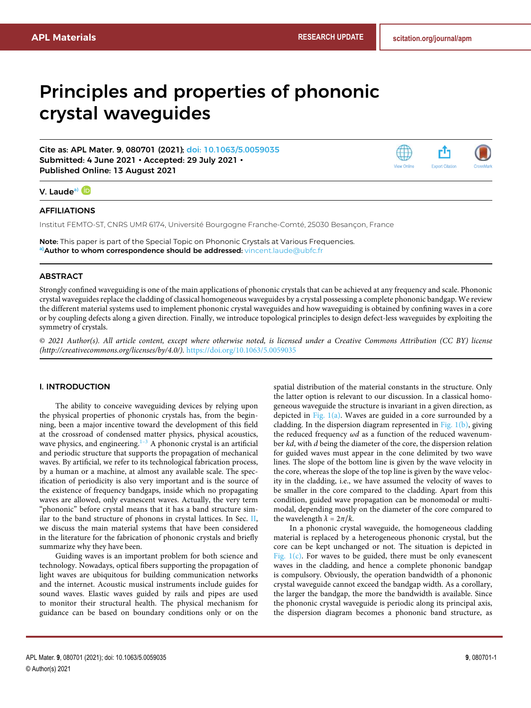## <span id="page-1-1"></span>Principles and properties of phononic crystal waveguides

Cite as: APL Mater. **9**, 080701 (2021); [doi: 10.1063/5.0059035](https://doi.org/10.1063/5.0059035) Submitted: 4 June 2021 • Accepted: 29 July 2021 • Published Online: 13 August 2021



#### V. Laude<sup>[a\)](#page-1-0)</sup> ID

#### AFFILIATIONS

Institut FEMTO-ST, CNRS UMR 6174, Université Bourgogne Franche-Comté, 25030 Besançon, France

<span id="page-1-0"></span>Note: This paper is part of the Special Topic on Phononic Crystals at Various Frequencies. **a)**Author to whom correspondence should be addressed: [vincent.laude@ubfc.fr](mailto:vincent.laude@ubfc.fr)

#### ABSTRACT

Strongly confined waveguiding is one of the main applications of phononic crystals that can be achieved at any frequency and scale. Phononic crystal waveguides replace the cladding of classical homogeneous waveguides by a crystal possessing a complete phononic bandgap. We review the different material systems used to implement phononic crystal waveguides and how waveguiding is obtained by confining waves in a core or by coupling defects along a given direction. Finally, we introduce topological principles to design defect-less waveguides by exploiting the symmetry of crystals.

© 2021 Author(s). All article content, except where otherwise noted, is licensed under a Creative Commons Attribution (CC BY) license (http://creativecommons.org/licenses/by/4.0/). <https://doi.org/10.1063/5.0059035>

#### I. INTRODUCTION

The ability to conceive waveguiding devices by relying upon the physical properties of phononic crystals has, from the beginning, been a major incentive toward the development of this field at the crossroad of condensed matter physics, physical acoustics, wave physics, and engineering. $1-3$  $1-3$  A phononic crystal is an artificial and periodic structure that supports the propagation of mechanical waves. By artificial, we refer to its technological fabrication process, by a human or a machine, at almost any available scale. The specification of periodicity is also very important and is the source of the existence of frequency bandgaps, inside which no propagating waves are allowed, only evanescent waves. Actually, the very term "phononic" before crystal means that it has a band structure similar to the band structure of phonons in crystal lattices. In Sec. [II,](#page-2-0) we discuss the main material systems that have been considered in the literature for the fabrication of phononic crystals and briefly summarize why they have been.

Guiding waves is an important problem for both science and technology. Nowadays, optical fibers supporting the propagation of light waves are ubiquitous for building communication networks and the internet. Acoustic musical instruments include guides for sound waves. Elastic waves guided by rails and pipes are used to monitor their structural health. The physical mechanism for guidance can be based on boundary conditions only or on the

spatial distribution of the material constants in the structure. Only the latter option is relevant to our discussion. In a classical homogeneous waveguide the structure is invariant in a given direction, as depicted in Fig.  $1(a)$ . Waves are guided in a core surrounded by a cladding. In the dispersion diagram represented in Fig.  $1(b)$ , giving the reduced frequency *ω*d as a function of the reduced wavenumber kd, with d being the diameter of the core, the dispersion relation for guided waves must appear in the cone delimited by two wave lines. The slope of the bottom line is given by the wave velocity in the core, whereas the slope of the top line is given by the wave velocity in the cladding, i.e., we have assumed the velocity of waves to be smaller in the core compared to the cladding. Apart from this condition, guided wave propagation can be monomodal or multimodal, depending mostly on the diameter of the core compared to the wavelength  $\lambda = 2\pi/k$ .

In a phononic crystal waveguide, the homogeneous cladding material is replaced by a heterogeneous phononic crystal, but the core can be kept unchanged or not. The situation is depicted in Fig.  $1(c)$ . For waves to be guided, there must be only evanescent waves in the cladding, and hence a complete phononic bandgap is compulsory. Obviously, the operation bandwidth of a phononic crystal waveguide cannot exceed the bandgap width. As a corollary, the larger the bandgap, the more the bandwidth is available. Since the phononic crystal waveguide is periodic along its principal axis, the dispersion diagram becomes a phononic band structure, as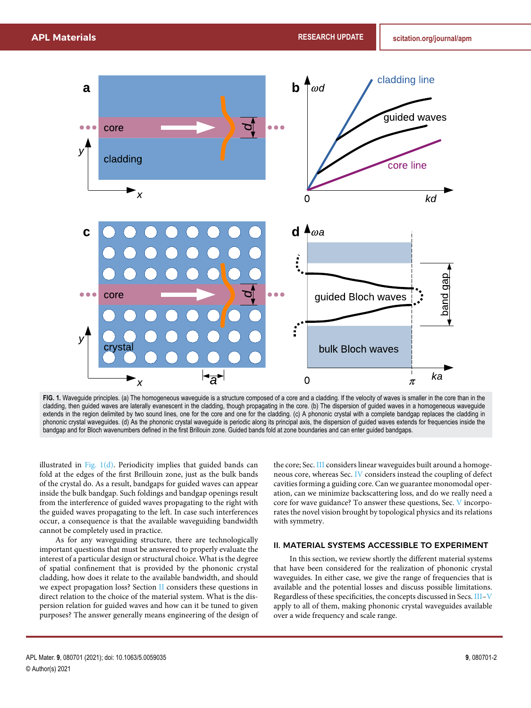<span id="page-2-1"></span>

FIG. 1. Waveguide principles. (a) The homogeneous waveguide is a structure composed of a core and a cladding. If the velocity of waves is smaller in the core than in the cladding, then guided waves are laterally evanescent in the cladding, though propagating in the core. (b) The dispersion of guided waves in a homogeneous waveguide extends in the region delimited by two sound lines, one for the core and one for the cladding. (c) A phononic crystal with a complete bandgap replaces the cladding in phononic crystal waveguides. (d) As the phononic crystal waveguide is periodic along its principal axis, the dispersion of guided waves extends for frequencies inside the bandgap and for Bloch wavenumbers defined in the first Brillouin zone. Guided bands fold at zone boundaries and can enter guided bandgaps.

illustrated in [Fig. 1\(d\).](#page-2-1) Periodicity implies that guided bands can fold at the edges of the first Brillouin zone, just as the bulk bands of the crystal do. As a result, bandgaps for guided waves can appear inside the bulk bandgap. Such foldings and bandgap openings result from the interference of guided waves propagating to the right with the guided waves propagating to the left. In case such interferences occur, a consequence is that the available waveguiding bandwidth cannot be completely used in practice.

As for any waveguiding structure, there are technologically important questions that must be answered to properly evaluate the interest of a particular design or structural choice. What is the degree of spatial confinement that is provided by the phononic crystal cladding, how does it relate to the available bandwidth, and should we expect propagation loss? Section [II](#page-2-0) considers these questions in direct relation to the choice of the material system. What is the dispersion relation for guided waves and how can it be tuned to given purposes? The answer generally means engineering of the design of

the core; Sec. [III](#page-4-0) considers linear waveguides built around a homogeneous core, whereas Sec. [IV](#page-6-0) considers instead the coupling of defect cavities forming a guiding core. Can we guarantee monomodal operation, can we minimize backscattering loss, and do we really need a core for wave guidance? To answer these questions, Sec. [V](#page-6-1) incorporates the novel vision brought by topological physics and its relations with symmetry.

#### <span id="page-2-0"></span>II. MATERIAL SYSTEMS ACCESSIBLE TO EXPERIMENT

In this section, we review shortly the different material systems that have been considered for the realization of phononic crystal waveguides. In either case, we give the range of frequencies that is available and the potential losses and discuss possible limitations. Regardless of these specificities, the concepts discussed in Secs. [III–](#page-4-0)[V](#page-6-1) apply to all of them, making phononic crystal waveguides available over a wide frequency and scale range.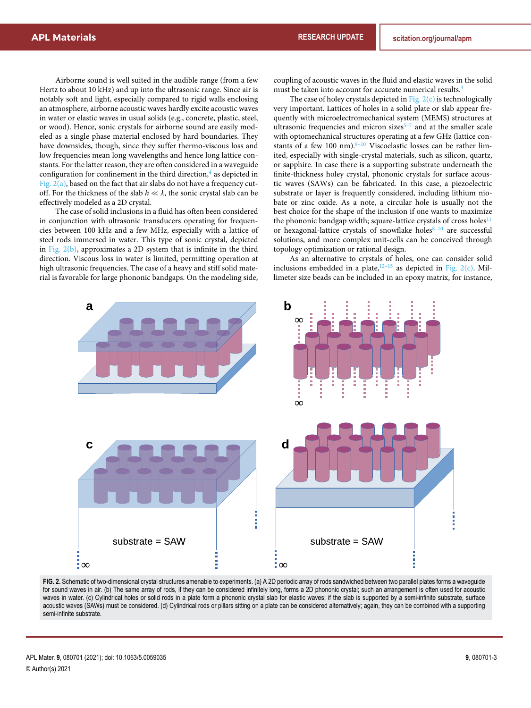Airborne sound is well suited in the audible range (from a few Hertz to about 10 kHz) and up into the ultrasonic range. Since air is notably soft and light, especially compared to rigid walls enclosing an atmosphere, airborne acoustic waves hardly excite acoustic waves in water or elastic waves in usual solids (e.g., concrete, plastic, steel, or wood). Hence, sonic crystals for airborne sound are easily modeled as a single phase material enclosed by hard boundaries. They have downsides, though, since they suffer thermo-viscous loss and low frequencies mean long wavelengths and hence long lattice constants. For the latter reason, they are often considered in a waveguide configuration for confinement in the third direction,<sup>[4](#page-9-2)</sup> as depicted in [Fig. 2\(a\),](#page-3-0) based on the fact that air slabs do not have a frequency cutoff. For the thickness of the slab  $h \ll \lambda$ , the sonic crystal slab can be effectively modeled as a 2D crystal.

The case of solid inclusions in a fluid has often been considered in conjunction with ultrasonic transducers operating for frequencies between 100 kHz and a few MHz, especially with a lattice of steel rods immersed in water. This type of sonic crystal, depicted in Fig.  $2(b)$ , approximates a 2D system that is infinite in the third direction. Viscous loss in water is limited, permitting operation at high ultrasonic frequencies. The case of a heavy and stiff solid material is favorable for large phononic bandgaps. On the modeling side,

coupling of acoustic waves in the fluid and elastic waves in the solid must be taken into account for accurate numerical results.<sup>[3](#page-9-1)</sup>

The case of holey crystals depicted in Fig.  $2(c)$  is technologically very important. Lattices of holes in a solid plate or slab appear frequently with microelectromechanical system (MEMS) structures at ultrasonic frequencies and micron sizes $5-7$  and at the smaller scale with optomechanical structures operating at a few GHz (lattice constants of a few 100 nm). $8-10$  Viscoelastic losses can be rather limited, especially with single-crystal materials, such as silicon, quartz, or sapphire. In case there is a supporting substrate underneath the finite-thickness holey crystal, phononic crystals for surface acoustic waves (SAWs) can be fabricated. In this case, a piezoelectric substrate or layer is frequently considered, including lithium niobate or zinc oxide. As a note, a circular hole is usually not the best choice for the shape of the inclusion if one wants to maximize the phononic bandgap width; square-lattice crystals of cross holes $11$ or hexagonal-lattice crystals of snowflake holes<sup>8-10</sup> are successful solutions, and more complex unit-cells can be conceived through topology optimization or rational design.

As an alternative to crystals of holes, one can consider solid inclusions embedded in a plate, $12-15$  as depicted in [Fig. 2\(c\).](#page-3-0) Millimeter size beads can be included in an epoxy matrix, for instance,

<span id="page-3-0"></span>

FIG. 2. Schematic of two-dimensional crystal structures amenable to experiments. (a) A 2D periodic array of rods sandwiched between two parallel plates forms a waveguide for sound waves in air. (b) The same array of rods, if they can be considered infinitely long, forms a 2D phononic crystal; such an arrangement is often used for acoustic waves in water. (c) Cylindrical holes or solid rods in a plate form a phononic crystal slab for elastic waves; if the slab is supported by a semi-infinite substrate, surface acoustic waves (SAWs) must be considered. (d) Cylindrical rods or pillars sitting on a plate can be considered alternatively; again, they can be combined with a supporting semi-infinite substrate.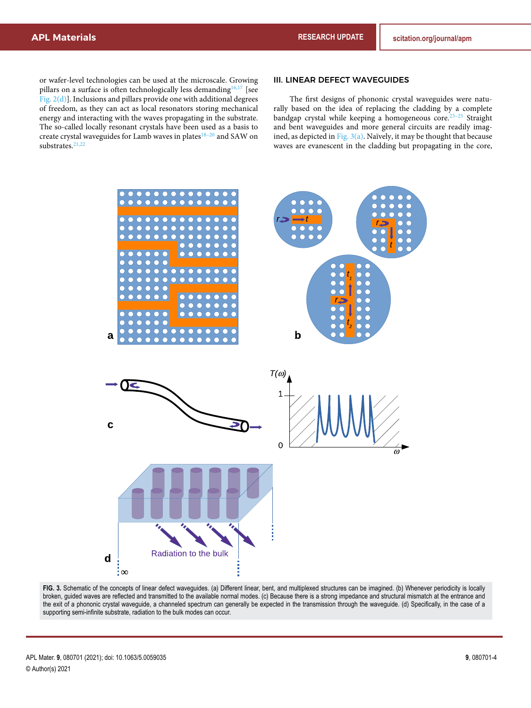or wafer-level technologies can be used at the microscale. Growing pillars on a surface is often technologically less demanding  $16,17$  [see [Fig. 2\(d\)\]](#page-3-0). Inclusions and pillars provide one with additional degrees of freedom, as they can act as local resonators storing mechanical energy and interacting with the waves propagating in the substrate. The so-called locally resonant crystals have been used as a basis to create crystal waveguides for Lamb waves in plates<sup>18-20</sup> and SAW on substrates.<sup>[21,22](#page-1-1)</sup>

#### III. LINEAR DEFECT WAVEGUIDES

The first designs of phononic crystal waveguides were naturally based on the idea of replacing the cladding by a complete bandgap crystal while keeping a homogeneous core.<sup>23-25</sup> Straight and bent waveguides and more general circuits are readily imagined, as depicted in Fig.  $3(a)$ . Naïvely, it may be thought that because waves are evanescent in the cladding but propagating in the core,

<span id="page-4-1"></span><span id="page-4-0"></span>

**FIG. 3.** Schematic of the concepts of linear defect waveguides. (a) Different linear, bent, and multiplexed structures can be imagined. (b) Whenever periodicity is locally broken, guided waves are reflected and transmitted to the available normal modes. (c) Because there is a strong impedance and structural mismatch at the entrance and the exit of a phononic crystal waveguide, a channeled spectrum can generally be expected in the transmission through the waveguide. (d) Specifically, in the case of a supporting semi-infinite substrate, radiation to the bulk modes can occur.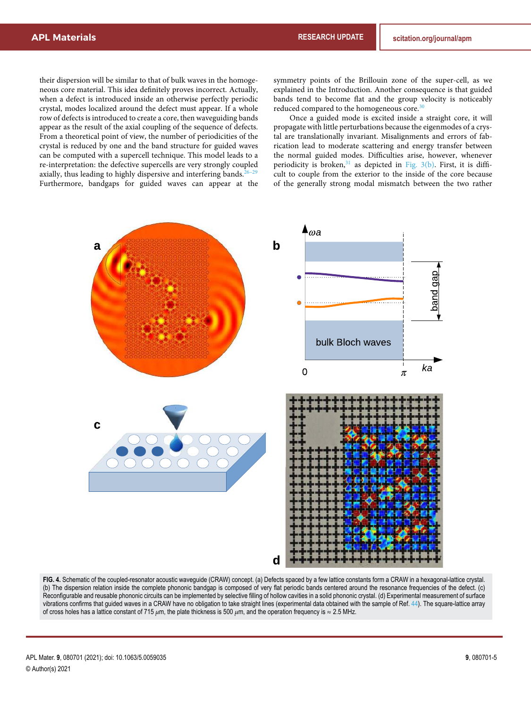their dispersion will be similar to that of bulk waves in the homogeneous core material. This idea definitely proves incorrect. Actually, when a defect is introduced inside an otherwise perfectly periodic crystal, modes localized around the defect must appear. If a whole row of defects is introduced to create a core, then waveguiding bands appear as the result of the axial coupling of the sequence of defects. From a theoretical point of view, the number of periodicities of the crystal is reduced by one and the band structure for guided waves can be computed with a supercell technique. This model leads to a re-interpretation: the defective supercells are very strongly coupled axially, thus leading to highly dispersive and interfering bands. $26-29$ Furthermore, bandgaps for guided waves can appear at the

symmetry points of the Brillouin zone of the super-cell, as we explained in the Introduction. Another consequence is that guided bands tend to become flat and the group velocity is noticeably reduced compared to the homogeneous core.<sup>[30](#page-9-20)</sup>

Once a guided mode is excited inside a straight core, it will propagate with little perturbations because the eigenmodes of a crystal are translationally invariant. Misalignments and errors of fabrication lead to moderate scattering and energy transfer between the normal guided modes. Difficulties arise, however, whenever periodicity is broken, $31$  as depicted in [Fig. 3\(b\).](#page-4-1) First, it is difficult to couple from the exterior to the inside of the core because of the generally strong modal mismatch between the two rather

<span id="page-5-0"></span>

**FIG. 4.** Schematic of the coupled-resonator acoustic waveguide (CRAW) concept. (a) Defects spaced by a few lattice constants form a CRAW in a hexagonal-lattice crystal. (b) The dispersion relation inside the complete phononic bandgap is composed of very flat periodic bands centered around the resonance frequencies of the defect. (c) Reconfigurable and reusable phononic circuits can be implemented by selective filling of hollow cavities in a solid phononic crystal. (d) Experimental measurement of surface vibrations confirms that guided waves in a CRAW have no obligation to take straight lines (experimental data obtained with the sample of Ref. [44\)](#page-10-0). The square-lattice array of cross holes has a lattice constant of 715 *μ*m, the plate thickness is 500 *μ*m, and the operation frequency is ≈ 2.5 MHz.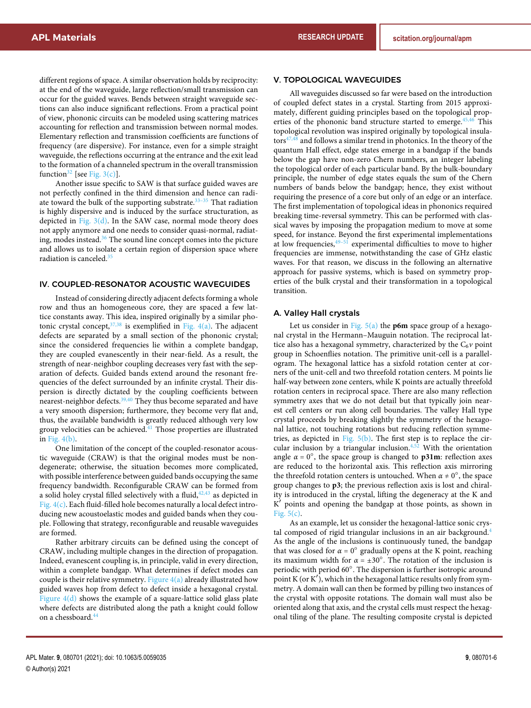different regions of space. A similar observation holds by reciprocity: at the end of the waveguide, large reflection/small transmission can occur for the guided waves. Bends between straight waveguide sections can also induce significant reflections. From a practical point of view, phononic circuits can be modeled using scattering matrices accounting for reflection and transmission between normal modes. Elementary reflection and transmission coefficients are functions of frequency (are dispersive). For instance, even for a simple straight waveguide, the reflections occurring at the entrance and the exit lead to the formation of a channeled spectrum in the overall transmission function<sup>[32](#page-9-22)</sup> [see [Fig. 3\(c\)\]](#page-4-1).

Another issue specific to SAW is that surface guided waves are not perfectly confined in the third dimension and hence can radiate toward the bulk of the supporting substrate.<sup>33-35</sup> That radiation is highly dispersive and is induced by the surface structuration, as depicted in Fig.  $3(d)$ . In the SAW case, normal mode theory does not apply anymore and one needs to consider quasi-normal, radiating, modes instead.[36](#page-10-3) The sound line concept comes into the picture and allows us to isolate a certain region of dispersion space where radiation is canceled.<sup>[35](#page-10-2)</sup>

#### <span id="page-6-0"></span>IV. COUPLED-RESONATOR ACOUSTIC WAVEGUIDES

Instead of considering directly adjacent defects forming a whole row and thus an homogeneous core, they are spaced a few lattice constants away. This idea, inspired originally by a similar photonic crystal concept,  $37,38$  is exemplified in [Fig. 4\(a\).](#page-5-0) The adjacent defects are separated by a small section of the phononic crystal; since the considered frequencies lie within a complete bandgap, they are coupled evanescently in their near-field. As a result, the strength of near-neighbor coupling decreases very fast with the separation of defects. Guided bands extend around the resonant frequencies of the defect surrounded by an infinite crystal. Their dispersion is directly dictated by the coupling coefficients between nearest-neighbor defects.<sup>[39,40](#page-1-1)</sup> They thus become separated and have a very smooth dispersion; furthermore, they become very flat and, thus, the available bandwidth is greatly reduced although very low group velocities can be achieved. $41$  Those properties are illustrated in [Fig. 4\(b\).](#page-5-0)

One limitation of the concept of the coupled-resonator acoustic waveguide (CRAW) is that the original modes must be nondegenerate; otherwise, the situation becomes more complicated, with possible interference between guided bands occupying the same frequency bandwidth. Reconfigurable CRAW can be formed from a solid holey crystal filled selectively with a fluid, $42,43$  as depicted in [Fig. 4\(c\).](#page-5-0) Each fluid-filled hole becomes naturally a local defect introducing new acoustoelastic modes and guided bands when they couple. Following that strategy, reconfigurable and reusable waveguides are formed.

<span id="page-6-1"></span>Rather arbitrary circuits can be defined using the concept of CRAW, including multiple changes in the direction of propagation. Indeed, evanescent coupling is, in principle, valid in every direction, within a complete bandgap. What determines if defect modes can couple is their relative symmetry. [Figure 4\(a\)](#page-5-0) already illustrated how guided waves hop from defect to defect inside a hexagonal crystal. Figure  $4(d)$  shows the example of a square-lattice solid glass plate where defects are distributed along the path a knight could follow on a chessboard.[44](#page-10-0)

#### V. TOPOLOGICAL WAVEGUIDES

All waveguides discussed so far were based on the introduction of coupled defect states in a crystal. Starting from 2015 approximately, different guiding principles based on the topological prop-erties of the phononic band structure started to emerge.<sup>[45,46](#page-1-1)</sup> This topological revolution was inspired originally by topological insula- $\text{tors}^{47,48}$  $\text{tors}^{47,48}$  $\text{tors}^{47,48}$  and follows a similar trend in photonics. In the theory of the quantum Hall effect, edge states emerge in a bandgap if the bands below the gap have non-zero Chern numbers, an integer labeling the topological order of each particular band. By the bulk-boundary principle, the number of edge states equals the sum of the Chern numbers of bands below the bandgap; hence, they exist without requiring the presence of a core but only of an edge or an interface. The first implementation of topological ideas in phononics required breaking time-reversal symmetry. This can be performed with classical waves by imposing the propagation medium to move at some speed, for instance. Beyond the first experimental implementations at low frequencies,  $49-51$  experimental difficulties to move to higher frequencies are immense, notwithstanding the case of GHz elastic waves. For that reason, we discuss in the following an alternative approach for passive systems, which is based on symmetry properties of the bulk crystal and their transformation in a topological transition.

#### A. Valley Hall crystals

Let us consider in [Fig. 5\(a\)](#page-7-0) the **p6m** space group of a hexagonal crystal in the Hermann–Mauguin notation. The reciprocal lattice also has a hexagonal symmetry, characterized by the  $C_6v$  point group in Schoenflies notation. The primitive unit-cell is a parallelogram. The hexagonal lattice has a sixfold rotation center at corners of the unit-cell and two threefold rotation centers. M points lie half-way between zone centers, while K points are actually threefold rotation centers in reciprocal space. There are also many reflection symmetry axes that we do not detail but that typically join nearest cell centers or run along cell boundaries. The valley Hall type crystal proceeds by breaking slightly the symmetry of the hexagonal lattice, not touching rotations but reducing reflection symmetries, as depicted in Fig.  $5(b)$ . The first step is to replace the circular inclusion by a triangular inclusion. $4,52$  With the orientation angle  $\alpha = 0^\circ$ , the space group is changed to **p31m**: reflection axes are reduced to the horizontal axis. This reflection axis mirroring the threefold rotation centers is untouched. When  $\alpha \neq 0^{\circ}$ , the space group changes to **p3**; the previous reflection axis is lost and chirality is introduced in the crystal, lifting the degeneracy at the K and K' points and opening the bandgap at those points, as shown in Fig.  $5(c)$ .

As an example, let us consider the hexagonal-lattice sonic crys-tal composed of rigid triangular inclusions in an air background.<sup>[4](#page-9-2)</sup> As the angle of the inclusions is continuously tuned, the bandgap that was closed for  $\alpha = 0^{\circ}$  gradually opens at the K point, reaching its maximum width for  $\alpha = \pm 30^{\circ}$ . The rotation of the inclusion is periodic with period 60°. The dispersion is further isotropic around point  $K$  (or  $K'$ ), which in the hexagonal lattice results only from symmetry. A domain wall can then be formed by pilling two instances of the crystal with opposite rotations. The domain wall must also be oriented along that axis, and the crystal cells must respect the hexagonal tiling of the plane. The resulting composite crystal is depicted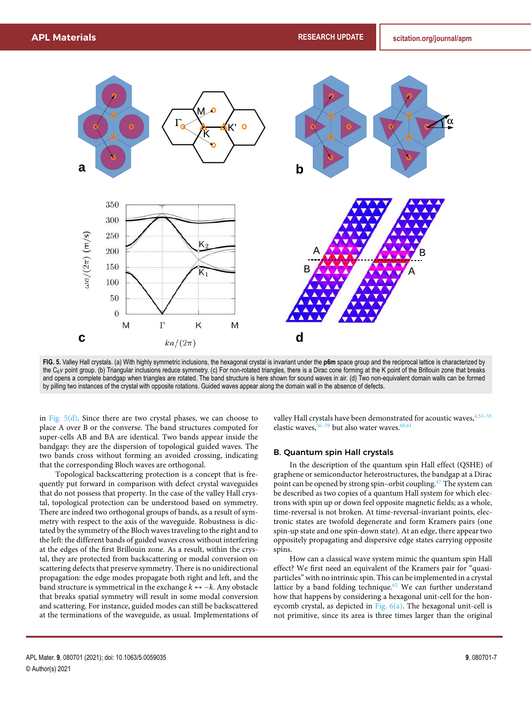<span id="page-7-0"></span>

**FIG. 5.** Valley Hall crystals. (a) With highly symmetric inclusions, the hexagonal crystal is invariant under the **p6m** space group and the reciprocal lattice is characterized by the  $C_6$ *v* point group. (b) Triangular inclusions reduce symmetry. (c) For non-rotated triangles, there is a Dirac cone forming at the K point of the Brillouin zone that breaks and opens a complete bandgap when triangles are rotated. The band structure is here shown for sound waves in air. (d) Two non-equivalent domain walls can be formed by pilling two instances of the crystal with opposite rotations. Guided waves appear along the domain wall in the absence of defects.

in Fig.  $5(d)$ . Since there are two crystal phases, we can choose to place A over B or the converse. The band structures computed for super-cells AB and BA are identical. Two bands appear inside the bandgap: they are the dispersion of topological guided waves. The two bands cross without forming an avoided crossing, indicating that the corresponding Bloch waves are orthogonal.

Topological backscattering protection is a concept that is frequently put forward in comparison with defect crystal waveguides that do not possess that property. In the case of the valley Hall crystal, topological protection can be understood based on symmetry. There are indeed two orthogonal groups of bands, as a result of symmetry with respect to the axis of the waveguide. Robustness is dictated by the symmetry of the Bloch waves traveling to the right and to the left: the different bands of guided waves cross without interfering at the edges of the first Brillouin zone. As a result, within the crystal, they are protected from backscattering or modal conversion on scattering defects that preserve symmetry. There is no unidirectional propagation: the edge modes propagate both right and left, and the band structure is symmetrical in the exchange  $k \leftrightarrow -k$ . Any obstacle that breaks spatial symmetry will result in some modal conversion and scattering. For instance, guided modes can still be backscattered at the terminations of the waveguide, as usual. Implementations of valley Hall crystals have been demonstrated for acoustic waves,  $4,53-55$ elastic waves,  $56-59$  but also water waves.  $60,61$ 

#### B. Quantum spin Hall crystals

In the description of the quantum spin Hall effect (QSHE) of graphene or semiconductor heterostructures, the bandgap at a Dirac point can be opened by strong spin–orbit coupling.[47](#page-10-13) The system can be described as two copies of a quantum Hall system for which electrons with spin up or down feel opposite magnetic fields; as a whole, time-reversal is not broken. At time-reversal-invariant points, electronic states are twofold degenerate and form Kramers pairs (one spin-up state and one spin-down state). At an edge, there appear two oppositely propagating and dispersive edge states carrying opposite spins.

How can a classical wave system mimic the quantum spin Hall effect? We first need an equivalent of the Kramers pair for "quasiparticles" with no intrinsic spin. This can be implemented in a crystal lattice by a band folding technique.<sup>[62](#page-10-24)</sup> We can further understand how that happens by considering a hexagonal unit-cell for the honeycomb crystal, as depicted in [Fig. 6\(a\).](#page-8-0) The hexagonal unit-cell is not primitive, since its area is three times larger than the original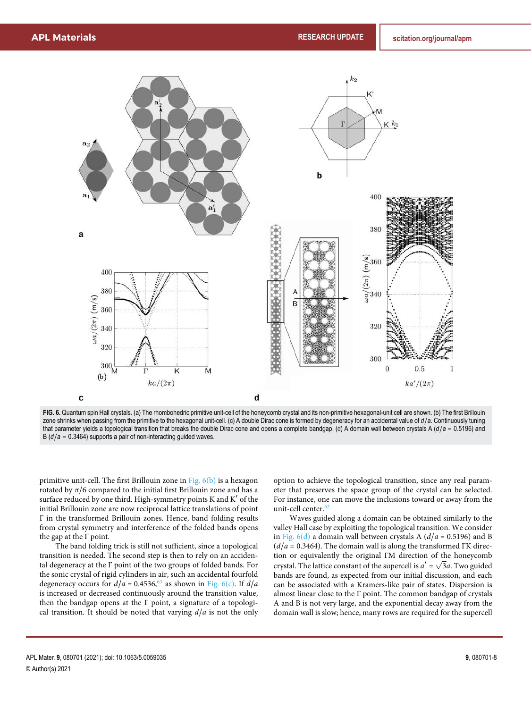<span id="page-8-0"></span>

**FIG. 6.** Quantum spin Hall crystals. (a) The rhombohedric primitive unit-cell of the honeycomb crystal and its non-primitive hexagonal-unit cell are shown. (b) The first Brillouin zone shrinks when passing from the primitive to the hexagonal unit-cell. (c) A double Dirac cone is formed by degeneracy for an accidental value of *d*/*a*. Continuously tuning that parameter yields a topological transition that breaks the double Dirac cone and opens a complete bandgap. (d) A domain wall between crystals A (*d*/*a* ≙ 0.5196) and B  $(d/a = 0.3464)$  supports a pair of non-interacting guided waves.

primitive unit-cell. The first Brillouin zone in [Fig. 6\(b\)](#page-8-0) is a hexagon rotated by  $\pi/6$  compared to the initial first Brillouin zone and has a surface reduced by one third. High-symmetry points K and K' of the initial Brillouin zone are now reciprocal lattice translations of point Γ in the transformed Brillouin zones. Hence, band folding results from crystal symmetry and interference of the folded bands opens the gap at the Γ point.

The band folding trick is still not sufficient, since a topological transition is needed. The second step is then to rely on an accidental degeneracy at the Γ point of the two groups of folded bands. For the sonic crystal of rigid cylinders in air, such an accidental fourfold degeneracy occurs for  $d/a = 0.4536$ ,  $63$  as shown in [Fig. 6\(c\).](#page-8-0) If  $d/a$ is increased or decreased continuously around the transition value, then the bandgap opens at the Γ point, a signature of a topological transition. It should be noted that varying  $d/a$  is not the only

option to achieve the topological transition, since any real parameter that preserves the space group of the crystal can be selected. For instance, one can move the inclusions toward or away from the unit-cell center.<sup>[62](#page-10-24)</sup>

Waves guided along a domain can be obtained similarly to the valley Hall case by exploiting the topological transition. We consider in Fig.  $6(d)$  a domain wall between crystals A ( $d/a = 0.5196$ ) and B  $(d/a = 0.3464)$ . The domain wall is along the transformed ΓK direction or equivalently the original ΓM direction of the honeycomb crystal. The lattice constant of the supercell is  $a' = \sqrt{3}a$ . Two guided bands are found, as expected from our initial discussion, and each can be associated with a Kramers-like pair of states. Dispersion is almost linear close to the Γ point. The common bandgap of crystals A and B is not very large, and the exponential decay away from the domain wall is slow; hence, many rows are required for the supercell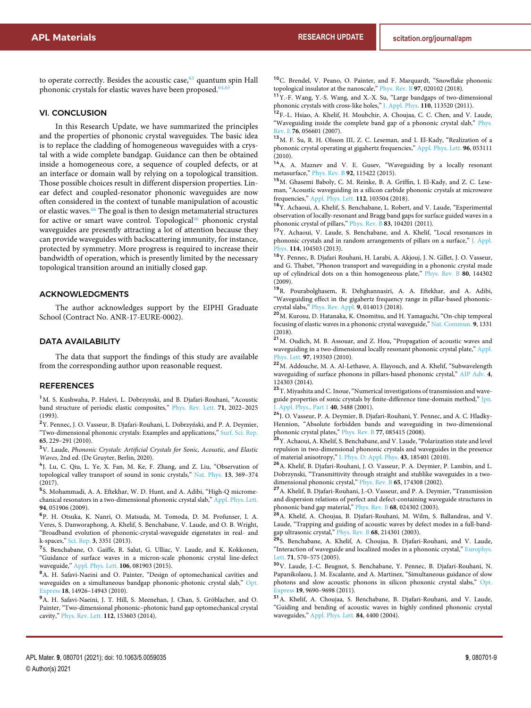to operate correctly. Besides the acoustic case, $63$  quantum spin Hall phononic crystals for elastic waves have been proposed.<sup>64,</sup>

#### VI. CONCLUSION

In this Research Update, we have summarized the principles and the properties of phononic crystal waveguides. The basic idea is to replace the cladding of homogeneous waveguides with a crystal with a wide complete bandgap. Guidance can then be obtained inside a homogeneous core, a sequence of coupled defects, or at an interface or domain wall by relying on a topological transition. Those possible choices result in different dispersion properties. Linear defect and coupled-resonator phononic waveguides are now often considered in the context of tunable manipulation of acoustic or elastic waves.<sup>[66](#page-10-28)</sup> The goal is then to design metamaterial structures for active or smart wave control. Topological<sup>[46](#page-10-12)</sup> phononic crystal waveguides are presently attracting a lot of attention because they can provide waveguides with backscattering immunity, for instance, protected by symmetry. More progress is required to increase their bandwidth of operation, which is presently limited by the necessary topological transition around an initially closed gap.

#### ACKNOWLEDGMENTS

The author acknowledges support by the EIPHI Graduate School (Contract No. ANR-17-EURE-0002).

#### DATA AVAILABILITY

The data that support the findings of this study are available from the corresponding author upon reasonable request.

#### **REFERENCES**

<span id="page-9-0"></span><sup>1</sup>M. S. Kushwaha, P. Halevi, L. Dobrzynski, and B. Djafari-Rouhani, "Acoustic band structure of periodic elastic composites," [Phys. Rev. Lett.](https://doi.org/10.1103/physrevlett.71.2022) **71**, 2022–2025 (1993).

<sup>2</sup>Y. Pennec, J. O. Vasseur, B. Djafari-Rouhani, L. Dobrzyński, and P. A. Deymier, "Two-dimensional phononic crystals: Examples and applications," [Surf. Sci. Rep.](https://doi.org/10.1016/j.surfrep.2010.08.002) **65**, 229–291 (2010).

<span id="page-9-1"></span><sup>3</sup>V. Laude, Phononic Crystals: Artificial Crystals for Sonic, Acoustic, and Elastic Waves, 2nd ed. (De Gruyter, Berlin, 2020).

<span id="page-9-2"></span>4 J. Lu, C. Qiu, L. Ye, X. Fan, M. Ke, F. Zhang, and Z. Liu, "Observation of topological valley transport of sound in sonic crystals," [Nat. Phys.](https://doi.org/10.1038/nphys3999) **13**, 369–374 (2017).

<span id="page-9-3"></span>5 S. Mohammadi, A. A. Eftekhar, W. D. Hunt, and A. Adibi, "High-Q micromechanical resonators in a two-dimensional phononic crystal slab," [Appl. Phys. Lett.](https://doi.org/10.1063/1.3078284) **94**, 051906 (2009).

6 P. H. Otsuka, K. Nanri, O. Matsuda, M. Tomoda, D. M. Profunser, I. A. Veres, S. Danworaphong, A. Khelif, S. Benchabane, V. Laude, and O. B. Wright, "Broadband evolution of phononic-crystal-waveguide eigenstates in real- and k-spaces," [Sci. Rep.](https://doi.org/10.1038/srep03351) **3**, 3351 (2013).

<span id="page-9-4"></span>7 S. Benchabane, O. Gaiffe, R. Salut, G. Ulliac, V. Laude, and K. Kokkonen, "Guidance of surface waves in a micron-scale phononic crystal line-defect waveguide," [Appl. Phys. Lett.](https://doi.org/10.1063/1.4913532) **106**, 081903 (2015).

<span id="page-9-5"></span><sup>8</sup>A. H. Safavi-Naeini and O. Painter, "Design of optomechanical cavities and waveguides on a simultaneous bandgap phononic-photonic crystal slab," [Opt.](https://doi.org/10.1364/oe.18.014926) [Express](https://doi.org/10.1364/oe.18.014926) **18**, 14926–14943 (2010).

<span id="page-9-6"></span><sup>9</sup>A. H. Safavi-Naeini, J. T. Hill, S. Meenehan, J. Chan, S. Gröblacher, and O. Painter, "Two-dimensional phononic–photonic band gap optomechanical crystal cavity," [Phys. Rev. Lett.](https://doi.org/10.1103/physrevlett.112.153603) **112**, 153603 (2014).

<sup>10</sup>C. Brendel, V. Peano, O. Painter, and F. Marquardt, "Snowflake phononic topological insulator at the nanoscale," [Phys. Rev. B](https://doi.org/10.1103/physrevb.97.020102) **97**, 020102 (2018).

<span id="page-9-7"></span><sup>11</sup>Y.-F. Wang, Y.-S. Wang, and X.-X. Su, "Large bandgaps of two-dimensional phononic crystals with cross-like holes," [J. Appl. Phys.](https://doi.org/10.1063/1.3665205) **110**, 113520 (2011).

<span id="page-9-8"></span><sup>12</sup>F.-L. Hsiao, A. Khelif, H. Moubchir, A. Choujaa, C. C. Chen, and V. Laude, "Waveguiding inside the complete band gap of a phononic crystal slab," [Phys.](https://doi.org/10.1103/PhysRevE.76.056601) [Rev. E](https://doi.org/10.1103/PhysRevE.76.056601) **76**, 056601 (2007).

<sup>13</sup>M. F. Su, R. H. Olsson III, Z. C. Leseman, and I. El-Kady, "Realization of a phononic crystal operating at gigahertz frequencies," [Appl. Phys. Lett.](https://doi.org/10.1063/1.3280376) **96**, 053111  $(2010).$ 

<sup>14</sup>A. A. Maznev and V. E. Gusev, "Waveguiding by a locally resonant metasurface," [Phys. Rev. B](https://doi.org/10.1103/physrevb.92.115422) **92**, 115422 (2015).

<span id="page-9-9"></span><sup>15</sup>M. Ghasemi Baboly, C. M. Reinke, B. A. Griffin, I. El-Kady, and Z. C. Leseman, "Acoustic waveguiding in a silicon carbide phononic crystals at microwave frequencies," [Appl. Phys. Lett.](https://doi.org/10.1063/1.5016380) **112**, 103504 (2018).

<span id="page-9-10"></span><sup>16</sup>Y. Achaoui, A. Khelif, S. Benchabane, L. Robert, and V. Laude, "Experimental observation of locally-resonant and Bragg band gaps for surface guided waves in a phononic crystal of pillars," [Phys. Rev. B](https://doi.org/10.1103/physrevb.83.104201) **83**, 104201 (2011).

<span id="page-9-11"></span><sup>17</sup>Y. Achaoui, V. Laude, S. Benchabane, and A. Khelif, "Local resonances in phononic crystals and in random arrangements of pillars on a surface," [J. Appl.](https://doi.org/10.1063/1.4820928) [Phys.](https://doi.org/10.1063/1.4820928) **114**, 104503 (2013).

<span id="page-9-12"></span><sup>18</sup>Y. Pennec, B. Djafari Rouhani, H. Larabi, A. Akjouj, J. N. Gillet, J. O. Vasseur, and G. Thabet, "Phonon transport and waveguiding in a phononic crystal made up of cylindrical dots on a thin homogeneous plate," [Phys. Rev. B](https://doi.org/10.1103/physrevb.80.144302) **80**, 144302 (2009).

<sup>19</sup>R. Pourabolghasem, R. Dehghannasiri, A. A. Eftekhar, and A. Adibi, "Waveguiding effect in the gigahertz frequency range in pillar-based phononiccrystal slabs," [Phys. Rev. Appl.](https://doi.org/10.1103/physrevapplied.9.014013) **9**, 014013 (2018).

<span id="page-9-13"></span><sup>20</sup>M. Kurosu, D. Hatanaka, K. Onomitsu, and H. Yamaguchi, "On-chip temporal focusing of elastic waves in a phononic crystal waveguide," [Nat. Commun.](https://doi.org/10.1038/s41467-018-03726-7) **9**, 1331 (2018).

<span id="page-9-14"></span><sup>21</sup>M. Oudich, M. B. Assouar, and Z. Hou, "Propagation of acoustic waves and waveguiding in a two-dimensional locally resonant phononic crystal plate," [Appl.](https://doi.org/10.1063/1.3513218) [Phys. Lett.](https://doi.org/10.1063/1.3513218) **97**, 193503 (2010).

<span id="page-9-15"></span><sup>22</sup>M. Addouche, M. A. Al-Lethawe, A. Elayouch, and A. Khelif, "Subwavelength waveguiding of surface phonons in pillars-based phononic crystal," [AIP Adv.](https://doi.org/10.1063/1.4901909) **4**, 124303 (2014).

<span id="page-9-16"></span><sup>23</sup>T. Miyashita and C. Inoue, "Numerical investigations of transmission and wave-guide properties of sonic crystals by finite-difference time-domain method," [Jpn.](https://doi.org/10.1143/jjap.40.3488) [J. Appl. Phys., Part 1](https://doi.org/10.1143/jjap.40.3488) **40**, 3488 (2001).

<sup>24</sup>J. O. Vasseur, P. A. Deymier, B. Djafari-Rouhani, Y. Pennec, and A. C. Hladky-Hennion, "Absolute forbidden bands and waveguiding in two-dimensional phononic crystal plates," [Phys. Rev. B](https://doi.org/10.1103/physrevb.77.085415) **77**, 085415 (2008).

<span id="page-9-17"></span><sup>25</sup>Y. Achaoui, A. Khelif, S. Benchabane, and V. Laude, "Polarization state and level repulsion in two-dimensional phononic crystals and waveguides in the presence of material anisotropy," [J. Phys. D: Appl. Phys.](https://doi.org/10.1088/0022-3727/43/18/185401) **43**, 185401 (2010).

<span id="page-9-18"></span><sup>26</sup>A. Khelif, B. Djafari-Rouhani, J. O. Vasseur, P. A. Deymier, P. Lambin, and L. Dobrzynski, "Transmittivity through straight and stublike waveguides in a twodimensional phononic crystal," [Phys. Rev. B](https://doi.org/10.1103/physrevb.65.174308) **65**, 174308 (2002).

<sup>27</sup>A. Khelif, B. Djafari-Rouhani, J.-O. Vasseur, and P. A. Deymier, "Transmission and dispersion relations of perfect and defect-containing waveguide structures in phononic band gap material," [Phys. Rev. B](https://doi.org/10.1103/physrevb.68.024302) **68**, 024302 (2003).

<sup>28</sup>A. Khelif, A. Choujaa, B. Djafari-Rouhani, M. Wilm, S. Ballandras, and V. Laude, "Trapping and guiding of acoustic waves by defect modes in a full-bandgap ultrasonic crystal," [Phys. Rev. B](https://doi.org/10.1103/physrevb.68.214301) **68**, 214301 (2003).

<span id="page-9-19"></span><sup>29</sup>S. Benchabane, A. Khelif, A. Choujaa, B. Djafari-Rouhani, and V. Laude, "Interaction of waveguide and localized modes in a phononic crystal," [Europhys.](https://doi.org/10.1209/epl/i2005-10131-2) [Lett.](https://doi.org/10.1209/epl/i2005-10131-2) **71**, 570–575 (2005).

<span id="page-9-20"></span><sup>30</sup>V. Laude, J.-C. Beugnot, S. Benchabane, Y. Pennec, B. Djafari-Rouhani, N. Papanikolaou, J. M. Escalante, and A. Martinez, "Simultaneous guidance of slow photons and slow acoustic phonons in silicon phoxonic crystal slabs," [Opt.](https://doi.org/10.1364/oe.19.009690) [Express](https://doi.org/10.1364/oe.19.009690) **19**, 9690–9698 (2011).

<span id="page-9-22"></span><span id="page-9-21"></span><sup>31</sup>A. Khelif, A. Choujaa, S. Benchabane, B. Djafari-Rouhani, and V. Laude, "Guiding and bending of acoustic waves in highly confined phononic crystal waveguides," [Appl. Phys. Lett.](https://doi.org/10.1063/1.1757642) **84**, 4400 (2004).